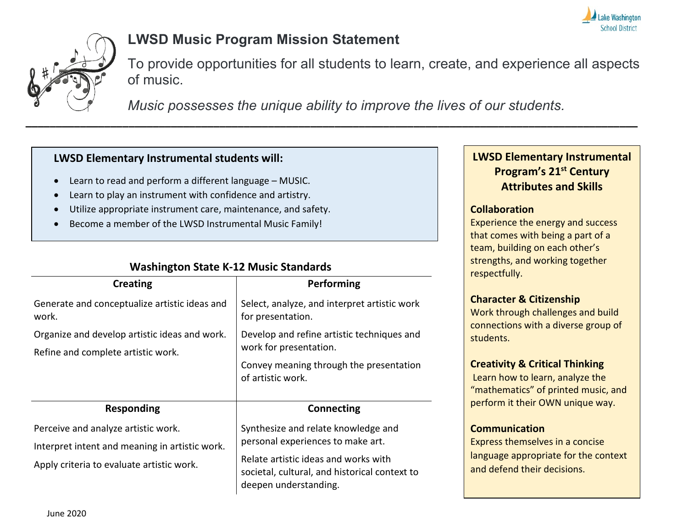



# **LWSD Music Program Mission Statement**

To provide opportunities for all students to learn, create, and experience all aspects of music.

*Music possesses the unique ability to improve the lives of our students.*

### **LWSD Elementary Instrumental students will:**

- Learn to read and perform a different language MUSIC.
- Learn to play an instrument with confidence and artistry.
- Utilize appropriate instrument care, maintenance, and safety.
- Become a member of the LWSD Instrumental Music Family!

| <b>Creating</b>                                                                                                                    | Performing                                                                                                                                                                                 |
|------------------------------------------------------------------------------------------------------------------------------------|--------------------------------------------------------------------------------------------------------------------------------------------------------------------------------------------|
| Generate and conceptualize artistic ideas and<br>work.                                                                             | Select, analyze, and interpret artistic work<br>for presentation.                                                                                                                          |
| Organize and develop artistic ideas and work.<br>Refine and complete artistic work.                                                | Develop and refine artistic techniques and<br>work for presentation.<br>Convey meaning through the presentation<br>of artistic work.                                                       |
| <b>Responding</b>                                                                                                                  | <b>Connecting</b>                                                                                                                                                                          |
| Perceive and analyze artistic work.<br>Interpret intent and meaning in artistic work.<br>Apply criteria to evaluate artistic work. | Synthesize and relate knowledge and<br>personal experiences to make art.<br>Relate artistic ideas and works with<br>societal, cultural, and historical context to<br>deepen understanding. |

# **Washington State K-12 Music Standards**

## **LWSD Elementary Instrumental Program's 21st Century Attributes and Skills**

### **Collaboration**

Experience the energy and success that comes with being a part of a team, building on each other's strengths, and working together respectfully.

## **Character & Citizenship**

Work through challenges and build connections with a diverse group of students.

#### **Creativity & Critical Thinking**

Learn how to learn, analyze the "mathematics" of printed music, and perform it their OWN unique way.

#### **Communication**

Express themselves in a concise language appropriate for the context and defend their decisions.